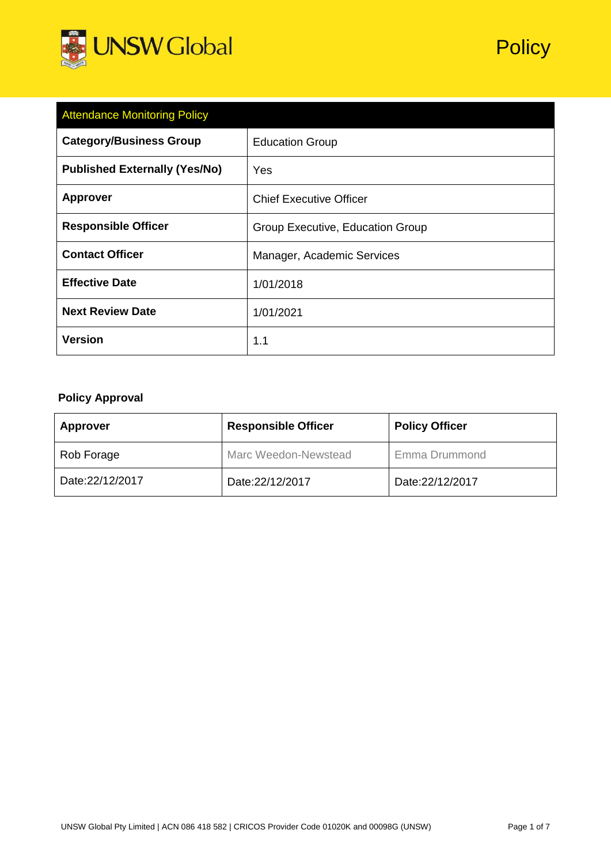

| <b>Attendance Monitoring Policy</b>  |                                  |  |  |  |
|--------------------------------------|----------------------------------|--|--|--|
| <b>Category/Business Group</b>       | <b>Education Group</b>           |  |  |  |
| <b>Published Externally (Yes/No)</b> | Yes                              |  |  |  |
| <b>Approver</b>                      | <b>Chief Executive Officer</b>   |  |  |  |
| <b>Responsible Officer</b>           | Group Executive, Education Group |  |  |  |
| <b>Contact Officer</b>               | Manager, Academic Services       |  |  |  |
| <b>Effective Date</b>                | 1/01/2018                        |  |  |  |
| <b>Next Review Date</b>              | 1/01/2021                        |  |  |  |
| <b>Version</b>                       | 1.1                              |  |  |  |

# **Policy Approval**

| <b>Approver</b> | <b>Responsible Officer</b> | <b>Policy Officer</b> |
|-----------------|----------------------------|-----------------------|
| Rob Forage      | Marc Weedon-Newstead       | Emma Drummond         |
| Date:22/12/2017 | Date:22/12/2017            | Date:22/12/2017       |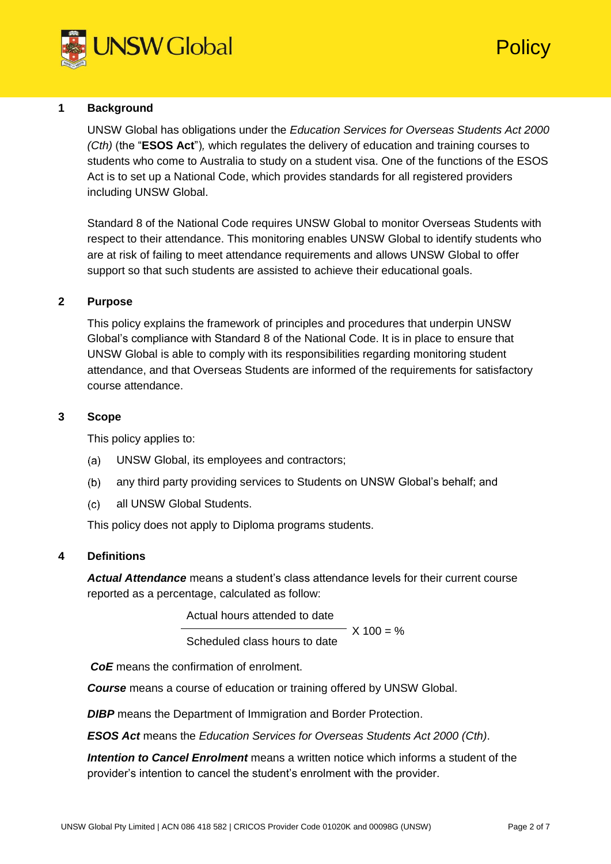

# **Policy**

# **1 Background**

UNSW Global has obligations under the *Education Services for Overseas Students Act 2000 (Cth)* (the "**ESOS Act**")*,* which regulates the delivery of education and training courses to students who come to Australia to study on a student visa. One of the functions of the ESOS Act is to set up a National Code, which provides standards for all registered providers including UNSW Global.

Standard 8 of the National Code requires UNSW Global to monitor Overseas Students with respect to their attendance. This monitoring enables UNSW Global to identify students who are at risk of failing to meet attendance requirements and allows UNSW Global to offer support so that such students are assisted to achieve their educational goals.

## **2 Purpose**

This policy explains the framework of principles and procedures that underpin UNSW Global's compliance with Standard 8 of the National Code. It is in place to ensure that UNSW Global is able to comply with its responsibilities regarding monitoring student attendance, and that Overseas Students are informed of the requirements for satisfactory course attendance.

### **3 Scope**

This policy applies to:

- UNSW Global, its employees and contractors;  $(a)$
- $(b)$ any third party providing services to Students on UNSW Global's behalf; and
- $(c)$ all UNSW Global Students.

This policy does not apply to Diploma programs students.

### **4 Definitions**

*Actual Attendance* means a student's class attendance levels for their current course reported as a percentage, calculated as follow:

Actual hours attended to date

X 100 = %

Scheduled class hours to date

*CoE* means the confirmation of enrolment.

*Course* means a course of education or training offered by UNSW Global.

**DIBP** means the Department of Immigration and Border Protection.

*ESOS Act* means the *Education Services for Overseas Students Act 2000 (Cth)*.

*Intention to Cancel Enrolment* means a written notice which informs a student of the provider's intention to cancel the student's enrolment with the provider.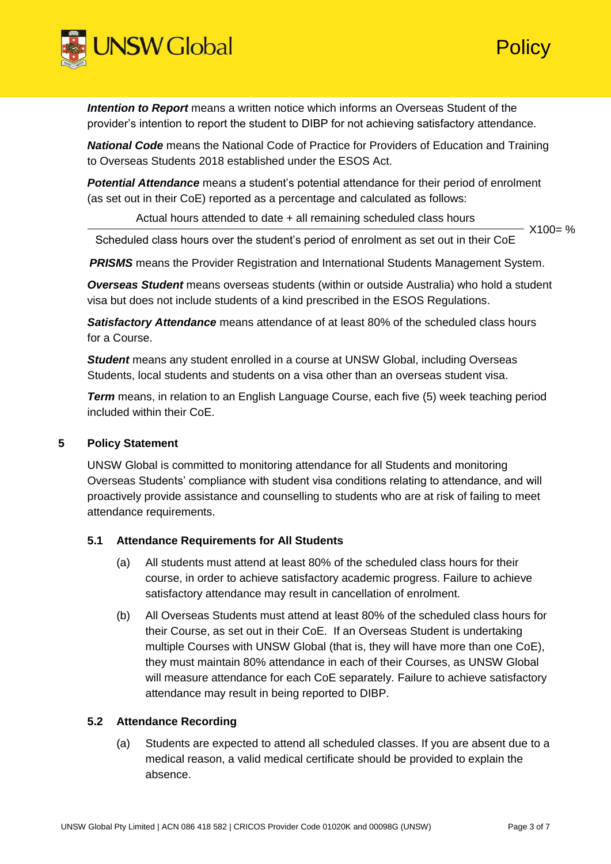

*Intention to Report* means a written notice which informs an Overseas Student of the provider's intention to report the student to DIBP for not achieving satisfactory attendance.

*National Code* means the National Code of Practice for Providers of Education and Training to Overseas Students 2018 established under the ESOS Act.

**Potential Attendance** means a student's potential attendance for their period of enrolment (as set out in their CoE) reported as a percentage and calculated as follows:

Actual hours attended to date + all remaining scheduled class hours

 $X100 = %$ Scheduled class hours over the student's period of enrolment as set out in their CoE

**PRISMS** means the Provider Registration and International Students Management System.

*Overseas Student* means overseas students (within or outside Australia) who hold a student visa but does not include students of a kind prescribed in the ESOS Regulations.

*Satisfactory Attendance* means attendance of at least 80% of the scheduled class hours for a Course.

**Student** means any student enrolled in a course at UNSW Global, including Overseas Students, local students and students on a visa other than an overseas student visa.

**Term** means, in relation to an English Language Course, each five (5) week teaching period included within their CoE.

# **5 Policy Statement**

UNSW Global is committed to monitoring attendance for all Students and monitoring Overseas Students' compliance with student visa conditions relating to attendance, and will proactively provide assistance and counselling to students who are at risk of failing to meet attendance requirements.

# **5.1 Attendance Requirements for All Students**

- (a) All students must attend at least 80% of the scheduled class hours for their course, in order to achieve satisfactory academic progress. Failure to achieve satisfactory attendance may result in cancellation of enrolment.
- (b) All Overseas Students must attend at least 80% of the scheduled class hours for their Course, as set out in their CoE. If an Overseas Student is undertaking multiple Courses with UNSW Global (that is, they will have more than one CoE), they must maintain 80% attendance in each of their Courses, as UNSW Global will measure attendance for each CoE separately. Failure to achieve satisfactory attendance may result in being reported to DIBP.

# **5.2 Attendance Recording**

(a) Students are expected to attend all scheduled classes. If you are absent due to a medical reason, a valid medical certificate should be provided to explain the absence.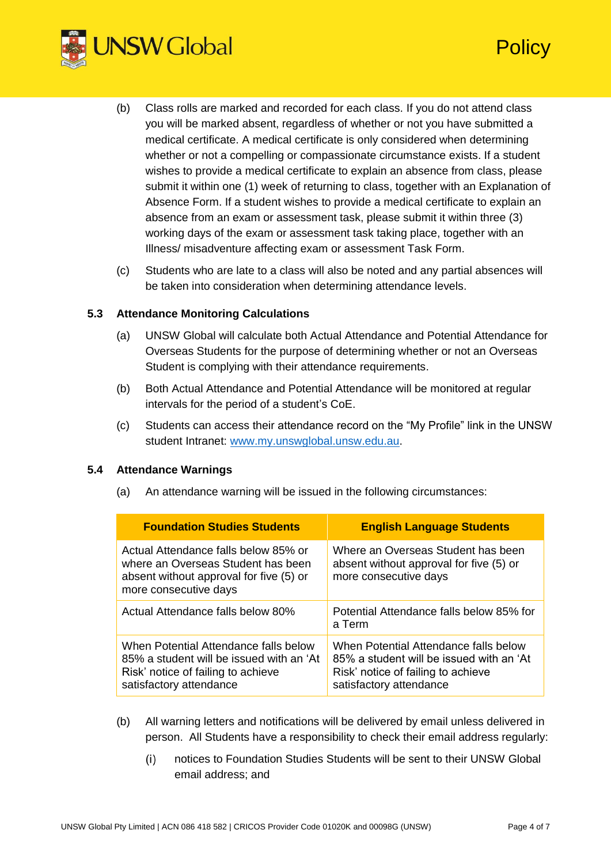

- (b) Class rolls are marked and recorded for each class. If you do not attend class you will be marked absent, regardless of whether or not you have submitted a medical certificate. A medical certificate is only considered when determining whether or not a compelling or compassionate circumstance exists. If a student wishes to provide a medical certificate to explain an absence from class, please submit it within one (1) week of returning to class, together with an Explanation of Absence Form. If a student wishes to provide a medical certificate to explain an absence from an exam or assessment task, please submit it within three (3) working days of the exam or assessment task taking place, together with an Illness/ misadventure affecting exam or assessment Task Form.
- (c) Students who are late to a class will also be noted and any partial absences will be taken into consideration when determining attendance levels.

## **5.3 Attendance Monitoring Calculations**

- (a) UNSW Global will calculate both Actual Attendance and Potential Attendance for Overseas Students for the purpose of determining whether or not an Overseas Student is complying with their attendance requirements.
- (b) Both Actual Attendance and Potential Attendance will be monitored at regular intervals for the period of a student's CoE.
- (c) Students can access their attendance record on the "My Profile" link in the UNSW student Intranet: [www.my.unswglobal.unsw.edu.au.](http://www.my.unswglobal.unsw.edu.au/)

### **5.4 Attendance Warnings**

(a) An attendance warning will be issued in the following circumstances:

| <b>Foundation Studies Students</b>                                                                                                                 | <b>English Language Students</b>                                                                                                                   |  |
|----------------------------------------------------------------------------------------------------------------------------------------------------|----------------------------------------------------------------------------------------------------------------------------------------------------|--|
| Actual Attendance falls below 85% or<br>where an Overseas Student has been<br>absent without approval for five (5) or<br>more consecutive days     | Where an Overseas Student has been<br>absent without approval for five (5) or<br>more consecutive days                                             |  |
| Actual Attendance falls below 80%                                                                                                                  | Potential Attendance falls below 85% for<br>a Term                                                                                                 |  |
| When Potential Attendance falls below<br>85% a student will be issued with an 'At<br>Risk' notice of failing to achieve<br>satisfactory attendance | When Potential Attendance falls below<br>85% a student will be issued with an 'At<br>Risk' notice of failing to achieve<br>satisfactory attendance |  |

- (b) All warning letters and notifications will be delivered by email unless delivered in person. All Students have a responsibility to check their email address regularly:
	- $(i)$ notices to Foundation Studies Students will be sent to their UNSW Global email address; and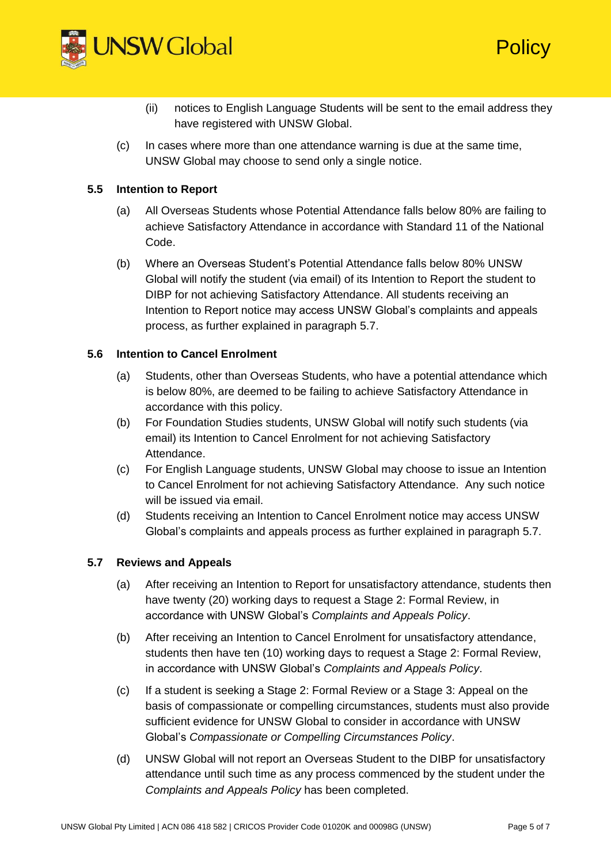

- (ii) notices to English Language Students will be sent to the email address they have registered with UNSW Global.
- (c) In cases where more than one attendance warning is due at the same time, UNSW Global may choose to send only a single notice.

## **5.5 Intention to Report**

- (a) All Overseas Students whose Potential Attendance falls below 80% are failing to achieve Satisfactory Attendance in accordance with Standard 11 of the National Code.
- (b) Where an Overseas Student's Potential Attendance falls below 80% UNSW Global will notify the student (via email) of its Intention to Report the student to DIBP for not achieving Satisfactory Attendance. All students receiving an Intention to Report notice may access UNSW Global's complaints and appeals process, as further explained in paragraph 5.7.

## **5.6 Intention to Cancel Enrolment**

- (a) Students, other than Overseas Students, who have a potential attendance which is below 80%, are deemed to be failing to achieve Satisfactory Attendance in accordance with this policy.
- (b) For Foundation Studies students, UNSW Global will notify such students (via email) its Intention to Cancel Enrolment for not achieving Satisfactory Attendance.
- (c) For English Language students, UNSW Global may choose to issue an Intention to Cancel Enrolment for not achieving Satisfactory Attendance. Any such notice will be issued via email.
- (d) Students receiving an Intention to Cancel Enrolment notice may access UNSW Global's complaints and appeals process as further explained in paragraph 5.7.

## **5.7 Reviews and Appeals**

- (a) After receiving an Intention to Report for unsatisfactory attendance, students then have twenty (20) working days to request a Stage 2: Formal Review, in accordance with UNSW Global's *Complaints and Appeals Policy*.
- (b) After receiving an Intention to Cancel Enrolment for unsatisfactory attendance, students then have ten (10) working days to request a Stage 2: Formal Review, in accordance with UNSW Global's *Complaints and Appeals Policy*.
- (c) If a student is seeking a Stage 2: Formal Review or a Stage 3: Appeal on the basis of compassionate or compelling circumstances, students must also provide sufficient evidence for UNSW Global to consider in accordance with UNSW Global's *Compassionate or Compelling Circumstances Policy*.
- (d) UNSW Global will not report an Overseas Student to the DIBP for unsatisfactory attendance until such time as any process commenced by the student under the *Complaints and Appeals Policy* has been completed.

**Policy**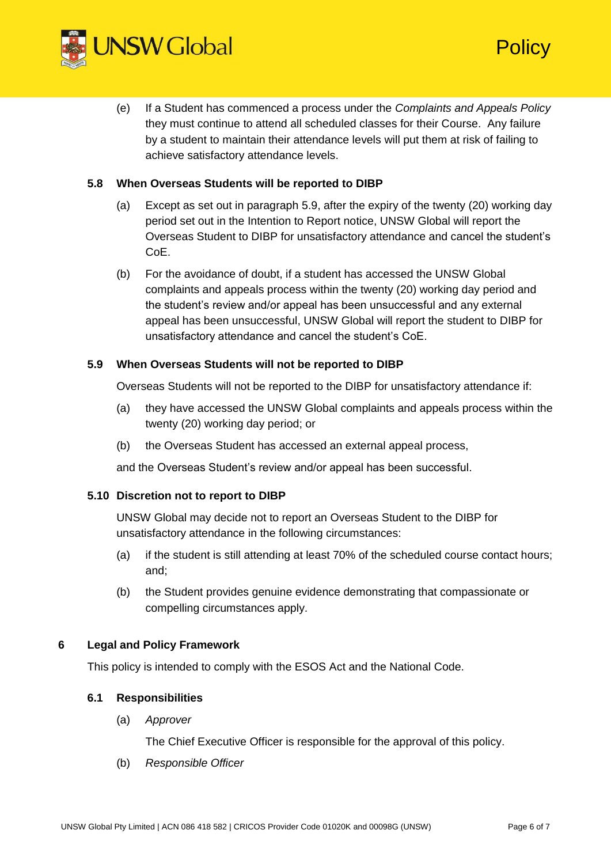

(e) If a Student has commenced a process under the *Complaints and Appeals Policy* they must continue to attend all scheduled classes for their Course. Any failure by a student to maintain their attendance levels will put them at risk of failing to achieve satisfactory attendance levels.

# **5.8 When Overseas Students will be reported to DIBP**

- (a) Except as set out in paragraph 5.9, after the expiry of the twenty (20) working day period set out in the Intention to Report notice, UNSW Global will report the Overseas Student to DIBP for unsatisfactory attendance and cancel the student's CoE.
- (b) For the avoidance of doubt, if a student has accessed the UNSW Global complaints and appeals process within the twenty (20) working day period and the student's review and/or appeal has been unsuccessful and any external appeal has been unsuccessful, UNSW Global will report the student to DIBP for unsatisfactory attendance and cancel the student's CoE.

## **5.9 When Overseas Students will not be reported to DIBP**

Overseas Students will not be reported to the DIBP for unsatisfactory attendance if:

- (a) they have accessed the UNSW Global complaints and appeals process within the twenty (20) working day period; or
- (b) the Overseas Student has accessed an external appeal process,

and the Overseas Student's review and/or appeal has been successful.

### **5.10 Discretion not to report to DIBP**

UNSW Global may decide not to report an Overseas Student to the DIBP for unsatisfactory attendance in the following circumstances:

- (a) if the student is still attending at least 70% of the scheduled course contact hours; and;
- (b) the Student provides genuine evidence demonstrating that compassionate or compelling circumstances apply.

### **6 Legal and Policy Framework**

This policy is intended to comply with the ESOS Act and the National Code.

### **6.1 Responsibilities**

(a) *Approver*

The Chief Executive Officer is responsible for the approval of this policy.

(b) *Responsible Officer*

**Policy**